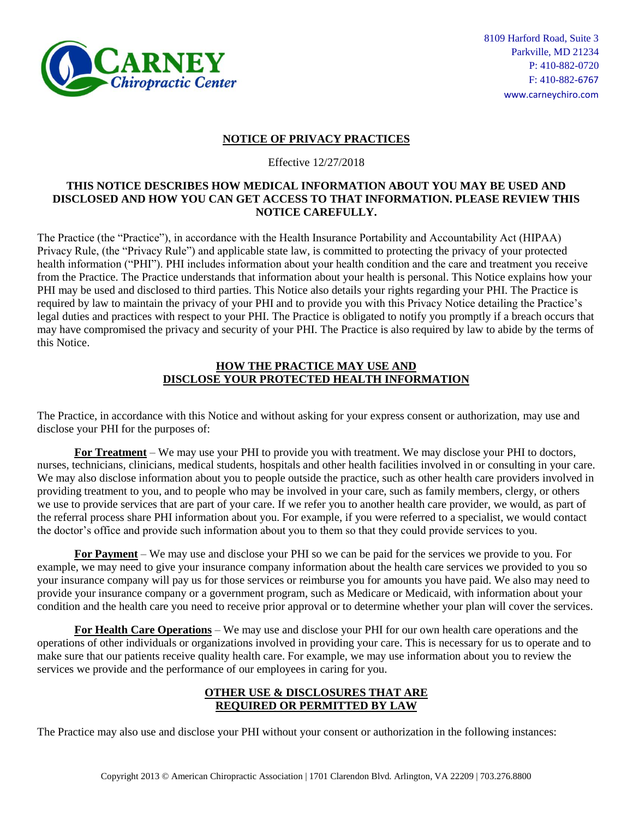

# **NOTICE OF PRIVACY PRACTICES**

Effective 12/27/2018

#### **THIS NOTICE DESCRIBES HOW MEDICAL INFORMATION ABOUT YOU MAY BE USED AND DISCLOSED AND HOW YOU CAN GET ACCESS TO THAT INFORMATION. PLEASE REVIEW THIS NOTICE CAREFULLY.**

The Practice (the "Practice"), in accordance with the Health Insurance Portability and Accountability Act (HIPAA) Privacy Rule, (the "Privacy Rule") and applicable state law, is committed to protecting the privacy of your protected health information ("PHI"). PHI includes information about your health condition and the care and treatment you receive from the Practice. The Practice understands that information about your health is personal. This Notice explains how your PHI may be used and disclosed to third parties. This Notice also details your rights regarding your PHI. The Practice is required by law to maintain the privacy of your PHI and to provide you with this Privacy Notice detailing the Practice's legal duties and practices with respect to your PHI. The Practice is obligated to notify you promptly if a breach occurs that may have compromised the privacy and security of your PHI. The Practice is also required by law to abide by the terms of this Notice.

#### **HOW THE PRACTICE MAY USE AND DISCLOSE YOUR PROTECTED HEALTH INFORMATION**

The Practice, in accordance with this Notice and without asking for your express consent or authorization, may use and disclose your PHI for the purposes of:

**For Treatment** – We may use your PHI to provide you with treatment. We may disclose your PHI to doctors, nurses, technicians, clinicians, medical students, hospitals and other health facilities involved in or consulting in your care. We may also disclose information about you to people outside the practice, such as other health care providers involved in providing treatment to you, and to people who may be involved in your care, such as family members, clergy, or others we use to provide services that are part of your care. If we refer you to another health care provider, we would, as part of the referral process share PHI information about you. For example, if you were referred to a specialist, we would contact the doctor's office and provide such information about you to them so that they could provide services to you.

**For Payment** – We may use and disclose your PHI so we can be paid for the services we provide to you. For example, we may need to give your insurance company information about the health care services we provided to you so your insurance company will pay us for those services or reimburse you for amounts you have paid. We also may need to provide your insurance company or a government program, such as Medicare or Medicaid, with information about your condition and the health care you need to receive prior approval or to determine whether your plan will cover the services.

**For Health Care Operations** – We may use and disclose your PHI for our own health care operations and the operations of other individuals or organizations involved in providing your care. This is necessary for us to operate and to make sure that our patients receive quality health care. For example, we may use information about you to review the services we provide and the performance of our employees in caring for you.

## **OTHER USE & DISCLOSURES THAT ARE REQUIRED OR PERMITTED BY LAW**

The Practice may also use and disclose your PHI without your consent or authorization in the following instances: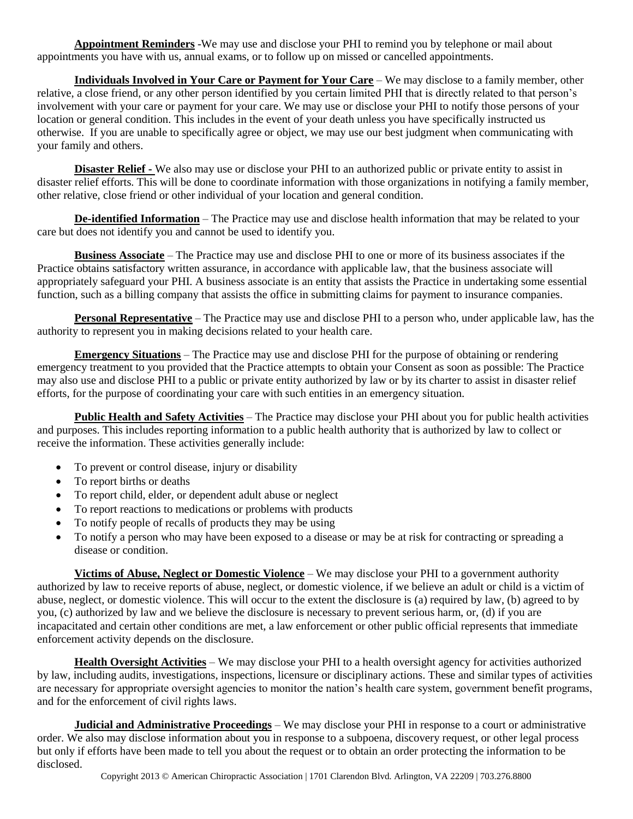**Appointment Reminders** -We may use and disclose your PHI to remind you by telephone or mail about appointments you have with us, annual exams, or to follow up on missed or cancelled appointments.

**Individuals Involved in Your Care or Payment for Your Care** – We may disclose to a family member, other relative, a close friend, or any other person identified by you certain limited PHI that is directly related to that person's involvement with your care or payment for your care. We may use or disclose your PHI to notify those persons of your location or general condition. This includes in the event of your death unless you have specifically instructed us otherwise. If you are unable to specifically agree or object, we may use our best judgment when communicating with your family and others.

**Disaster Relief -** We also may use or disclose your PHI to an authorized public or private entity to assist in disaster relief efforts. This will be done to coordinate information with those organizations in notifying a family member, other relative, close friend or other individual of your location and general condition.

**De-identified Information** – The Practice may use and disclose health information that may be related to your care but does not identify you and cannot be used to identify you.

**Business Associate** – The Practice may use and disclose PHI to one or more of its business associates if the Practice obtains satisfactory written assurance, in accordance with applicable law, that the business associate will appropriately safeguard your PHI. A business associate is an entity that assists the Practice in undertaking some essential function, such as a billing company that assists the office in submitting claims for payment to insurance companies.

**Personal Representative** – The Practice may use and disclose PHI to a person who, under applicable law, has the authority to represent you in making decisions related to your health care.

**Emergency Situations** – The Practice may use and disclose PHI for the purpose of obtaining or rendering emergency treatment to you provided that the Practice attempts to obtain your Consent as soon as possible: The Practice may also use and disclose PHI to a public or private entity authorized by law or by its charter to assist in disaster relief efforts, for the purpose of coordinating your care with such entities in an emergency situation.

**Public Health and Safety Activities** – The Practice may disclose your PHI about you for public health activities and purposes. This includes reporting information to a public health authority that is authorized by law to collect or receive the information. These activities generally include:

- To prevent or control disease, injury or disability
- To report births or deaths
- To report child, elder, or dependent adult abuse or neglect
- To report reactions to medications or problems with products
- To notify people of recalls of products they may be using
- To notify a person who may have been exposed to a disease or may be at risk for contracting or spreading a disease or condition.

**Victims of Abuse, Neglect or Domestic Violence** – We may disclose your PHI to a government authority authorized by law to receive reports of abuse, neglect, or domestic violence, if we believe an adult or child is a victim of abuse, neglect, or domestic violence. This will occur to the extent the disclosure is (a) required by law, (b) agreed to by you, (c) authorized by law and we believe the disclosure is necessary to prevent serious harm, or, (d) if you are incapacitated and certain other conditions are met, a law enforcement or other public official represents that immediate enforcement activity depends on the disclosure.

**Health Oversight Activities** – We may disclose your PHI to a health oversight agency for activities authorized by law, including audits, investigations, inspections, licensure or disciplinary actions. These and similar types of activities are necessary for appropriate oversight agencies to monitor the nation's health care system, government benefit programs, and for the enforcement of civil rights laws.

**Judicial and Administrative Proceedings** – We may disclose your PHI in response to a court or administrative order. We also may disclose information about you in response to a subpoena, discovery request, or other legal process but only if efforts have been made to tell you about the request or to obtain an order protecting the information to be disclosed.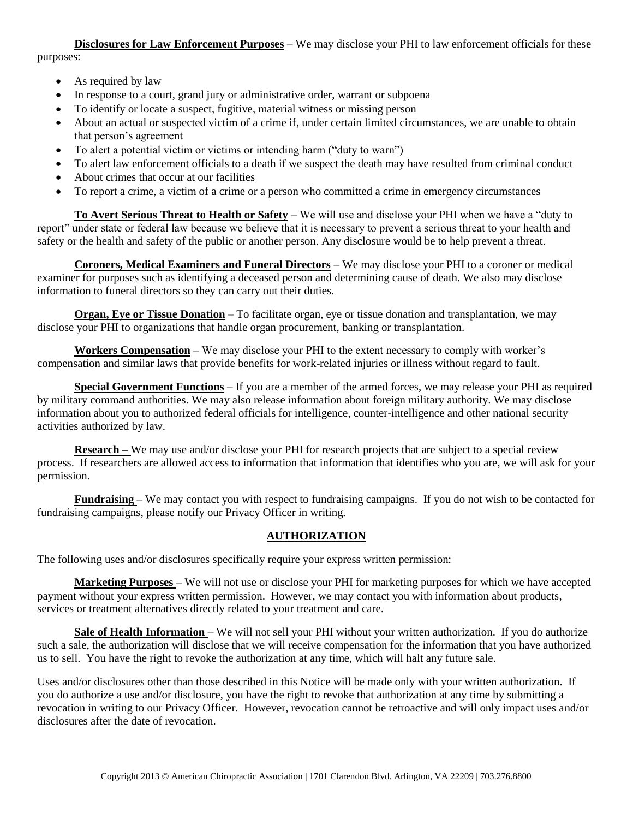**Disclosures for Law Enforcement Purposes** – We may disclose your PHI to law enforcement officials for these purposes:

- As required by law
- In response to a court, grand jury or administrative order, warrant or subpoena
- To identify or locate a suspect, fugitive, material witness or missing person
- About an actual or suspected victim of a crime if, under certain limited circumstances, we are unable to obtain that person's agreement
- To alert a potential victim or victims or intending harm ("duty to warn")
- To alert law enforcement officials to a death if we suspect the death may have resulted from criminal conduct
- About crimes that occur at our facilities
- To report a crime, a victim of a crime or a person who committed a crime in emergency circumstances

**To Avert Serious Threat to Health or Safety** – We will use and disclose your PHI when we have a "duty to report" under state or federal law because we believe that it is necessary to prevent a serious threat to your health and safety or the health and safety of the public or another person. Any disclosure would be to help prevent a threat.

**Coroners, Medical Examiners and Funeral Directors** – We may disclose your PHI to a coroner or medical examiner for purposes such as identifying a deceased person and determining cause of death. We also may disclose information to funeral directors so they can carry out their duties.

**Organ, Eye or Tissue Donation** – To facilitate organ, eye or tissue donation and transplantation, we may disclose your PHI to organizations that handle organ procurement, banking or transplantation.

**Workers Compensation** – We may disclose your PHI to the extent necessary to comply with worker's compensation and similar laws that provide benefits for work-related injuries or illness without regard to fault.

**Special Government Functions** – If you are a member of the armed forces, we may release your PHI as required by military command authorities. We may also release information about foreign military authority. We may disclose information about you to authorized federal officials for intelligence, counter-intelligence and other national security activities authorized by law.

**Research** – We may use and/or disclose your PHI for research projects that are subject to a special review process. If researchers are allowed access to information that information that identifies who you are, we will ask for your permission.

**Fundraising** – We may contact you with respect to fundraising campaigns. If you do not wish to be contacted for fundraising campaigns, please notify our Privacy Officer in writing.

## **AUTHORIZATION**

The following uses and/or disclosures specifically require your express written permission:

**Marketing Purposes** – We will not use or disclose your PHI for marketing purposes for which we have accepted payment without your express written permission. However, we may contact you with information about products, services or treatment alternatives directly related to your treatment and care.

**Sale of Health Information** – We will not sell your PHI without your written authorization. If you do authorize such a sale, the authorization will disclose that we will receive compensation for the information that you have authorized us to sell. You have the right to revoke the authorization at any time, which will halt any future sale.

Uses and/or disclosures other than those described in this Notice will be made only with your written authorization. If you do authorize a use and/or disclosure, you have the right to revoke that authorization at any time by submitting a revocation in writing to our Privacy Officer. However, revocation cannot be retroactive and will only impact uses and/or disclosures after the date of revocation.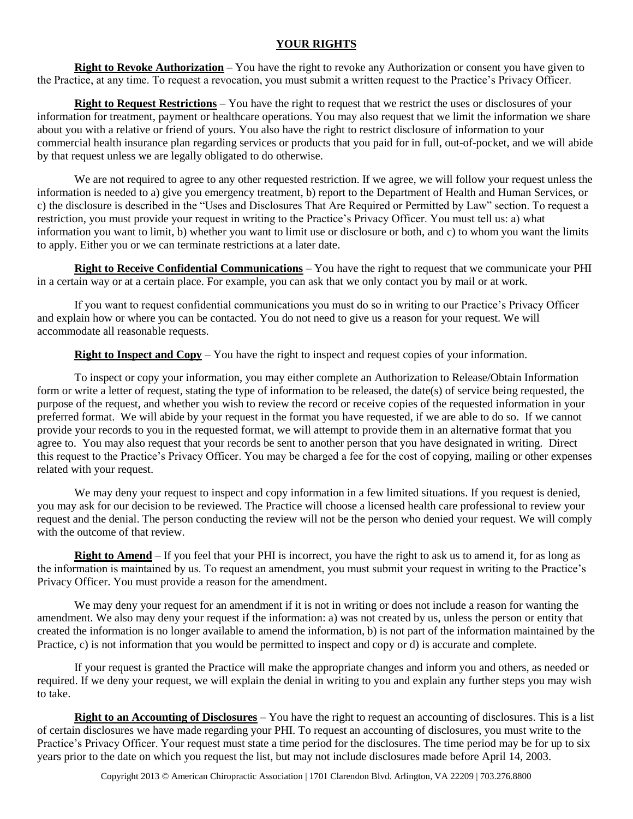#### **YOUR RIGHTS**

**Right to Revoke Authorization** – You have the right to revoke any Authorization or consent you have given to the Practice, at any time. To request a revocation, you must submit a written request to the Practice's Privacy Officer.

**Right to Request Restrictions** – You have the right to request that we restrict the uses or disclosures of your information for treatment, payment or healthcare operations. You may also request that we limit the information we share about you with a relative or friend of yours. You also have the right to restrict disclosure of information to your commercial health insurance plan regarding services or products that you paid for in full, out-of-pocket, and we will abide by that request unless we are legally obligated to do otherwise.

We are not required to agree to any other requested restriction. If we agree, we will follow your request unless the information is needed to a) give you emergency treatment, b) report to the Department of Health and Human Services, or c) the disclosure is described in the "Uses and Disclosures That Are Required or Permitted by Law" section. To request a restriction, you must provide your request in writing to the Practice's Privacy Officer. You must tell us: a) what information you want to limit, b) whether you want to limit use or disclosure or both, and c) to whom you want the limits to apply. Either you or we can terminate restrictions at a later date.

**Right to Receive Confidential Communications** – You have the right to request that we communicate your PHI in a certain way or at a certain place. For example, you can ask that we only contact you by mail or at work.

If you want to request confidential communications you must do so in writing to our Practice's Privacy Officer and explain how or where you can be contacted. You do not need to give us a reason for your request. We will accommodate all reasonable requests.

**Right to Inspect and Copy** – You have the right to inspect and request copies of your information.

To inspect or copy your information, you may either complete an Authorization to Release/Obtain Information form or write a letter of request, stating the type of information to be released, the date(s) of service being requested, the purpose of the request, and whether you wish to review the record or receive copies of the requested information in your preferred format. We will abide by your request in the format you have requested, if we are able to do so. If we cannot provide your records to you in the requested format, we will attempt to provide them in an alternative format that you agree to. You may also request that your records be sent to another person that you have designated in writing. Direct this request to the Practice's Privacy Officer. You may be charged a fee for the cost of copying, mailing or other expenses related with your request.

We may deny your request to inspect and copy information in a few limited situations. If you request is denied, you may ask for our decision to be reviewed. The Practice will choose a licensed health care professional to review your request and the denial. The person conducting the review will not be the person who denied your request. We will comply with the outcome of that review.

**Right to Amend** – If you feel that your PHI is incorrect, you have the right to ask us to amend it, for as long as the information is maintained by us. To request an amendment, you must submit your request in writing to the Practice's Privacy Officer. You must provide a reason for the amendment.

We may deny your request for an amendment if it is not in writing or does not include a reason for wanting the amendment. We also may deny your request if the information: a) was not created by us, unless the person or entity that created the information is no longer available to amend the information, b) is not part of the information maintained by the Practice, c) is not information that you would be permitted to inspect and copy or d) is accurate and complete.

If your request is granted the Practice will make the appropriate changes and inform you and others, as needed or required. If we deny your request, we will explain the denial in writing to you and explain any further steps you may wish to take.

**Right to an Accounting of Disclosures** – You have the right to request an accounting of disclosures. This is a list of certain disclosures we have made regarding your PHI. To request an accounting of disclosures, you must write to the Practice's Privacy Officer. Your request must state a time period for the disclosures. The time period may be for up to six years prior to the date on which you request the list, but may not include disclosures made before April 14, 2003.